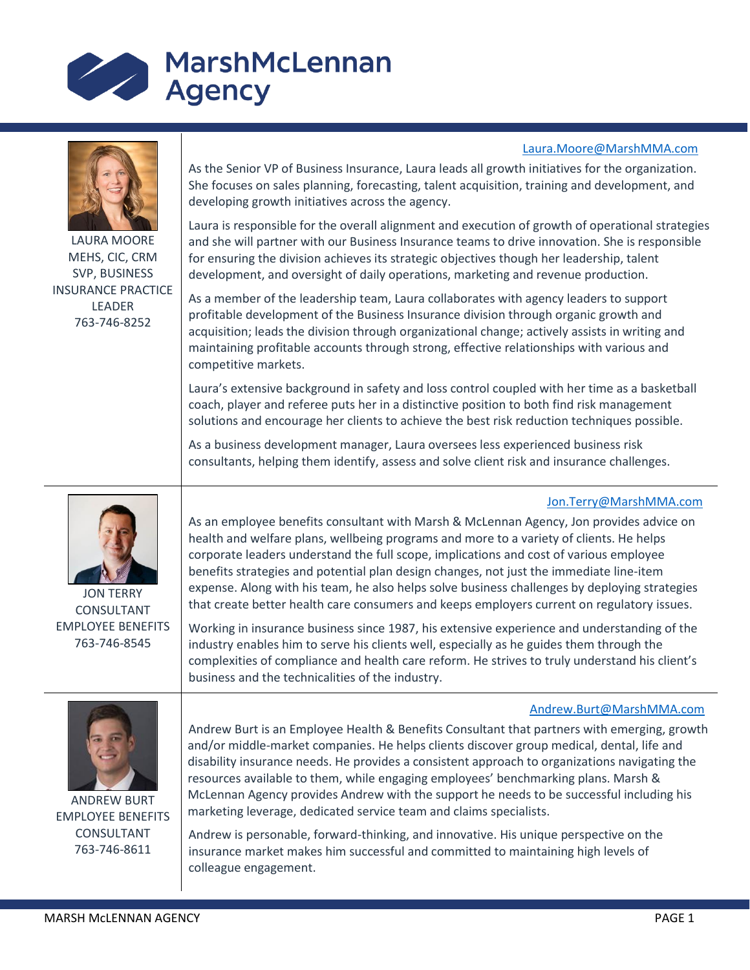

LAURA MOORE MEHS, CIC, CRM SVP, BUSINESS INSURANCE PRACTICE LEADER 763-746-8252

As the Senior VP of Business Insurance, Laura leads all growth initiatives for the organization. She focuses on sales planning, forecasting, talent acquisition, training and development, and developing growth initiatives across the agency.

Laura is responsible for the overall alignment and execution of growth of operational strategies and she will partner with our Business Insurance teams to drive innovation. She is responsible for ensuring the division achieves its strategic objectives though her leadership, talent development, and oversight of daily operations, marketing and revenue production.

As a member of the leadership team, Laura collaborates with agency leaders to support profitable development of the Business Insurance division through organic growth and acquisition; leads the division through organizational change; actively assists in writing and maintaining profitable accounts through strong, effective relationships with various and competitive markets.

Laura's extensive background in safety and loss control coupled with her time as a basketball coach, player and referee puts her in a distinctive position to both find risk management solutions and encourage her clients to achieve the best risk reduction techniques possible.

As a business development manager, Laura oversees less experienced business risk consultants, helping them identify, assess and solve client risk and insurance challenges.

## [Jon.Terry@MarshMMA.com](mailto:Jon.Terry@MarshMMA.com)

[Laura.Moore@MarshMMA.com](mailto:Laura.Moore@MarshMMA.com)



JON TERRY CONSULTANT EMPLOYEE BENEFITS 763-746-8545

As an employee benefits consultant with Marsh & McLennan Agency, Jon provides advice on health and welfare plans, wellbeing programs and more to a variety of clients. He helps corporate leaders understand the full scope, implications and cost of various employee benefits strategies and potential plan design changes, not just the immediate line-item expense. Along with his team, he also helps solve business challenges by deploying strategies that create better health care consumers and keeps employers current on regulatory issues.

Working in insurance business since 1987, his extensive experience and understanding of the industry enables him to serve his clients well, especially as he guides them through the complexities of compliance and health care reform. He strives to truly understand his client's business and the technicalities of the industry.

## [Andrew.Burt@MarshMMA.com](mailto:Andrew.Burt@MarshMMA.com)



EMPLOYEE BENEFITS CONSULTANT 763-746-8611

Andrew Burt is an Employee Health & Benefits Consultant that partners with emerging, growth and/or middle-market companies. He helps clients discover group medical, dental, life and disability insurance needs. He provides a consistent approach to organizations navigating the resources available to them, while engaging employees' benchmarking plans. Marsh & McLennan Agency provides Andrew with the support he needs to be successful including his marketing leverage, dedicated service team and claims specialists.

Andrew is personable, forward-thinking, and innovative. His unique perspective on the insurance market makes him successful and committed to maintaining high levels of colleague engagement.